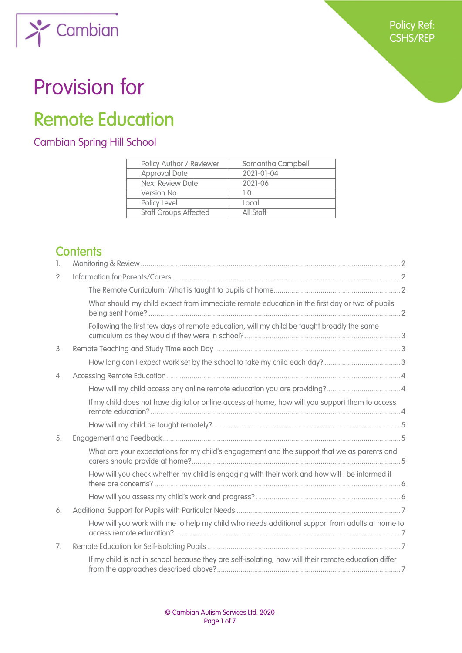

# Provision for

Cambian

 $\lambda$ 

# Remote Education

# Cambian Spring Hill School

| Policy Author / Reviewer     | Samantha Campbell |
|------------------------------|-------------------|
| <b>Approval Date</b>         | 2021-01-04        |
| <b>Next Review Date</b>      | 2021-06           |
| Version No                   | 10                |
| Policy Level                 | Local             |
| <b>Staff Groups Affected</b> | All Staff         |

# **Contents**

| 1.               |                                                                                                      |  |
|------------------|------------------------------------------------------------------------------------------------------|--|
| 2.               |                                                                                                      |  |
|                  |                                                                                                      |  |
|                  | What should my child expect from immediate remote education in the first day or two of pupils        |  |
|                  | Following the first few days of remote education, will my child be taught broadly the same           |  |
| 3.               |                                                                                                      |  |
|                  |                                                                                                      |  |
| $\overline{4}$ . |                                                                                                      |  |
|                  |                                                                                                      |  |
|                  | If my child does not have digital or online access at home, how will you support them to access      |  |
|                  |                                                                                                      |  |
| 5.               |                                                                                                      |  |
|                  | What are your expectations for my child's engagement and the support that we as parents and          |  |
|                  | How will you check whether my child is engaging with their work and how will I be informed if        |  |
|                  |                                                                                                      |  |
| 6.               |                                                                                                      |  |
|                  | How will you work with me to help my child who needs additional support from adults at home to       |  |
| 7.               |                                                                                                      |  |
|                  | If my child is not in school because they are self-isolating, how will their remote education differ |  |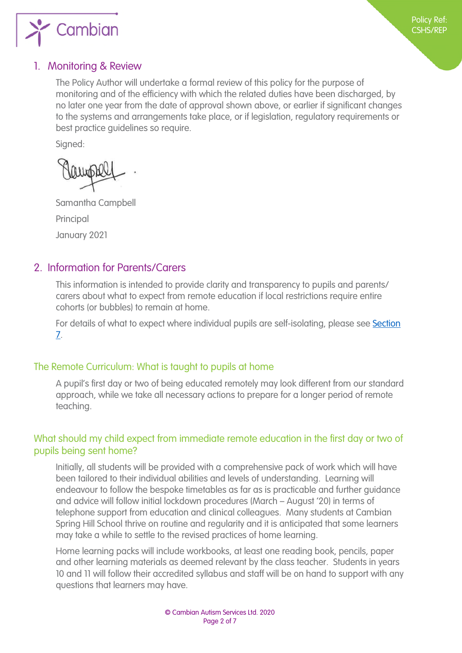

#### <span id="page-1-0"></span>1. Monitoring & Review

The Policy Author will undertake a formal review of this policy for the purpose of monitoring and of the efficiency with which the related duties have been discharged, by no later one year from the date of approval shown above, or earlier if significant changes to the systems and arrangements take place, or if legislation, regulatory requirements or best practice guidelines so require.

Sianed:

Samantha Campbell Principal January 2021

#### <span id="page-1-1"></span>2. Information for Parents/Carers

This information is intended to provide clarity and transparency to pupils and parents/ carers about what to expect from remote education if local restrictions require entire cohorts (or bubbles) to remain at home.

For details of what to expect where individual pupils are self-isolating, please see Section 7.

#### <span id="page-1-2"></span>The Remote Curriculum: What is taught to pupils at home

A pupil's first day or two of being educated remotely may look different from our standard approach, while we take all necessary actions to prepare for a longer period of remote teaching.

#### <span id="page-1-3"></span>What should my child expect from immediate remote education in the first day or two of pupils being sent home?

Initially, all students will be provided with a comprehensive pack of work which will have been tailored to their individual abilities and levels of understanding. Learning will endeavour to follow the bespoke timetables as far as is practicable and further guidance and advice will follow initial lockdown procedures (March – August '20) in terms of telephone support from education and clinical colleagues. Many students at Cambian Spring Hill School thrive on routine and regularity and it is anticipated that some learners may take a while to settle to the revised practices of home learning.

Home learning packs will include workbooks, at least one reading book, pencils, paper and other learning materials as deemed relevant by the class teacher. Students in years 10 and 11 will follow their accredited syllabus and staff will be on hand to support with any questions that learners may have.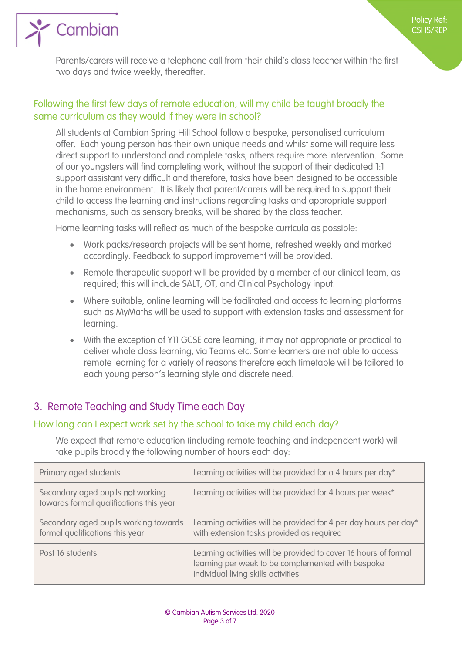

Parents/carers will receive a telephone call from their child's class teacher within the first two days and twice weekly, thereafter.

#### <span id="page-2-0"></span>Following the first few days of remote education, will my child be taught broadly the same curriculum as they would if they were in school?

All students at Cambian Spring Hill School follow a bespoke, personalised curriculum offer. Each young person has their own unique needs and whilst some will require less direct support to understand and complete tasks, others require more intervention. Some of our youngsters will find completing work, without the support of their dedicated 1:1 support assistant very difficult and therefore, tasks have been designed to be accessible in the home environment. It is likely that parent/carers will be required to support their child to access the learning and instructions regarding tasks and appropriate support mechanisms, such as sensory breaks, will be shared by the class teacher.

Home learning tasks will reflect as much of the bespoke curricula as possible:

- Work packs/research projects will be sent home, refreshed weekly and marked accordingly. Feedback to support improvement will be provided.
- Remote therapeutic support will be provided by a member of our clinical team, as required; this will include SALT, OT, and Clinical Psychology input.
- Where suitable, online learning will be facilitated and access to learning platforms such as MyMaths will be used to support with extension tasks and assessment for learning.
- With the exception of Y11 GCSE core learning, it may not appropriate or practical to deliver whole class learning, via Teams etc. Some learners are not able to access remote learning for a variety of reasons therefore each timetable will be tailored to each young person's learning style and discrete need.

#### <span id="page-2-1"></span>3. Remote Teaching and Study Time each Day

 $\sum$  Cambian

#### <span id="page-2-2"></span>How long can I expect work set by the school to take my child each day?

We expect that remote education (including remote teaching and independent work) will take pupils broadly the following number of hours each day:

| Primary aged students                                                        | Learning activities will be provided for a 4 hours per day*                                                                                                  |
|------------------------------------------------------------------------------|--------------------------------------------------------------------------------------------------------------------------------------------------------------|
| Secondary aged pupils not working<br>towards formal qualifications this year | Learning activities will be provided for 4 hours per week*                                                                                                   |
| Secondary aged pupils working towards<br>formal qualifications this year     | Learning activities will be provided for 4 per day hours per day*<br>with extension tasks provided as required                                               |
| Post 16 students                                                             | Learning activities will be provided to cover 16 hours of formal<br>learning per week to be complemented with bespoke<br>individual living skills activities |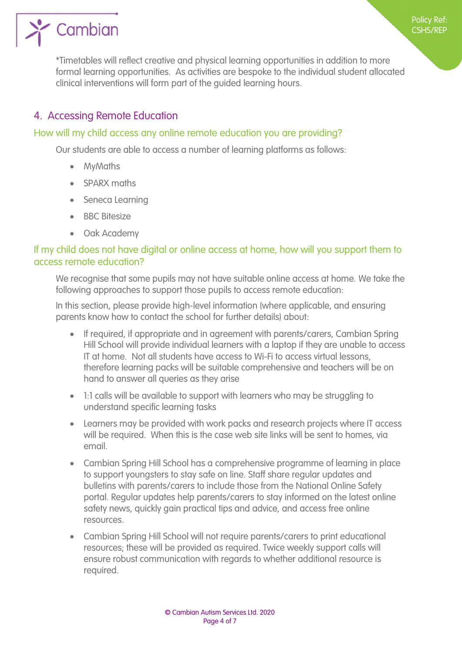

\*Timetables will reflect creative and physical learning opportunities in addition to more formal learning opportunities. As activities are bespoke to the individual student allocated clinical interventions will form part of the guided learning hours.

### <span id="page-3-0"></span>4. Accessing Remote Education

#### <span id="page-3-1"></span>How will my child access any online remote education you are providing?

Our students are able to access a number of learning platforms as follows:

- MyMaths
- SPARX maths
- Seneca Learning
- BBC Bitesize
- Oak Academy

#### <span id="page-3-2"></span>If my child does not have digital or online access at home, how will you support them to access remote education?

We recognise that some pupils may not have suitable online access at home. We take the following approaches to support those pupils to access remote education:

In this section, please provide high-level information (where applicable, and ensuring parents know how to contact the school for further details) about:

- If required, if appropriate and in agreement with parents/carers, Cambian Spring Hill School will provide individual learners with a laptop if they are unable to access IT at home. Not all students have access to Wi-Fi to access virtual lessons, therefore learning packs will be suitable comprehensive and teachers will be on hand to answer all queries as they arise
- 1:1 calls will be available to support with learners who may be struggling to understand specific learning tasks
- Learners may be provided with work packs and research projects where IT access will be required. When this is the case web site links will be sent to homes, via email.
- Cambian Spring Hill School has a comprehensive programme of learning in place to support youngsters to stay safe on line. Staff share regular updates and bulletins with parents/carers to include those from the National Online Safety portal. Regular updates help parents/carers to stay informed on the latest online safety news, quickly gain practical tips and advice, and access free online resources.
- Cambian Spring Hill School will not require parents/carers to print educational resources; these will be provided as required. Twice weekly support calls will ensure robust communication with regards to whether additional resource is required.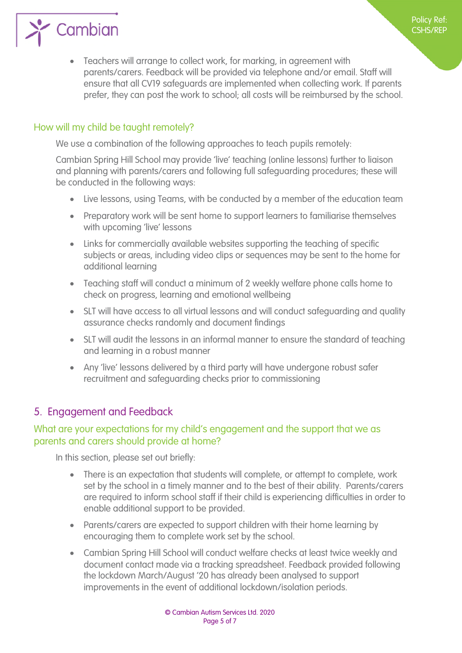

Policy Ref: CSHS/REP

#### <span id="page-4-1"></span>How will my child be taught remotely?

 $\sum$  Cambian

<span id="page-4-0"></span>We use a combination of the following approaches to teach pupils remotely:

Cambian Spring Hill School may provide 'live' teaching (online lessons) further to liaison and planning with parents/carers and following full safeguarding procedures; these will be conducted in the following ways:

- Live lessons, using Teams, with be conducted by a member of the education team
- Preparatory work will be sent home to support learners to familiarise themselves with upcoming 'live' lessons
- Links for commercially available websites supporting the teaching of specific subjects or areas, including video clips or sequences may be sent to the home for additional learning
- Teaching staff will conduct a minimum of 2 weekly welfare phone calls home to check on progress, learning and emotional wellbeing
- SLT will have access to all virtual lessons and will conduct safeguarding and quality assurance checks randomly and document findings
- SLT will audit the lessons in an informal manner to ensure the standard of teaching and learning in a robust manner
- Any 'live' lessons delivered by a third party will have undergone robust safer recruitment and safeguarding checks prior to commissioning

#### <span id="page-4-2"></span>5. Engagement and Feedback

#### <span id="page-4-3"></span>What are your expectations for my child's engagement and the support that we as parents and carers should provide at home?

In this section, please set out briefly:

- There is an expectation that students will complete, or attempt to complete, work set by the school in a timely manner and to the best of their ability. Parents/carers are required to inform school staff if their child is experiencing difficulties in order to enable additional support to be provided.
- Parents/carers are expected to support children with their home learning by encouraging them to complete work set by the school.
- Cambian Spring Hill School will conduct welfare checks at least twice weekly and document contact made via a tracking spreadsheet. Feedback provided following the lockdown March/August '20 has already been analysed to support improvements in the event of additional lockdown/isolation periods.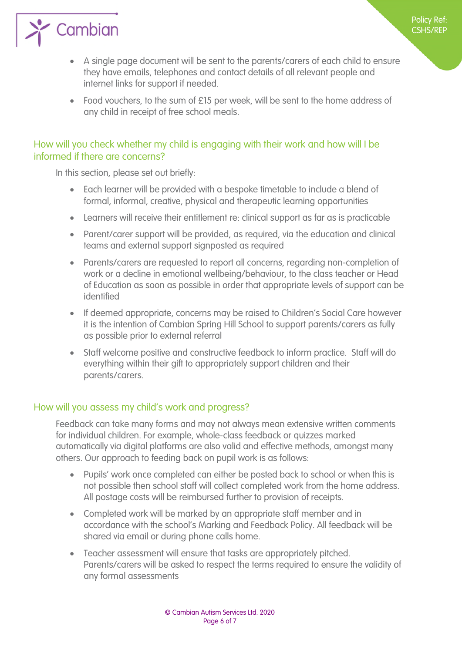

- A single page document will be sent to the parents/carers of each child to ensure they have emails, telephones and contact details of all relevant people and internet links for support if needed.
- Food vouchers, to the sum of £15 per week, will be sent to the home address of any child in receipt of free school meals.

#### <span id="page-5-0"></span>How will you check whether my child is engaging with their work and how will I be informed if there are concerns?

In this section, please set out briefly:

- Each learner will be provided with a bespoke timetable to include a blend of formal, informal, creative, physical and therapeutic learning opportunities
- Learners will receive their entitlement re: clinical support as far as is practicable
- Parent/carer support will be provided, as required, via the education and clinical teams and external support signposted as required
- Parents/carers are requested to report all concerns, regarding non-completion of work or a decline in emotional wellbeing/behaviour, to the class teacher or Head of Education as soon as possible in order that appropriate levels of support can be identified
- If deemed appropriate, concerns may be raised to Children's Social Care however it is the intention of Cambian Spring Hill School to support parents/carers as fully as possible prior to external referral
- Staff welcome positive and constructive feedback to inform practice. Staff will do everything within their gift to appropriately support children and their parents/carers.

#### <span id="page-5-1"></span>How will you assess my child's work and progress?

Feedback can take many forms and may not always mean extensive written comments for individual children. For example, whole-class feedback or quizzes marked automatically via digital platforms are also valid and effective methods, amongst many others. Our approach to feeding back on pupil work is as follows:

- Pupils' work once completed can either be posted back to school or when this is not possible then school staff will collect completed work from the home address. All postage costs will be reimbursed further to provision of receipts.
- Completed work will be marked by an appropriate staff member and in accordance with the school's Marking and Feedback Policy. All feedback will be shared via email or during phone calls home.
- Teacher assessment will ensure that tasks are appropriately pitched. Parents/carers will be asked to respect the terms required to ensure the validity of any formal assessments